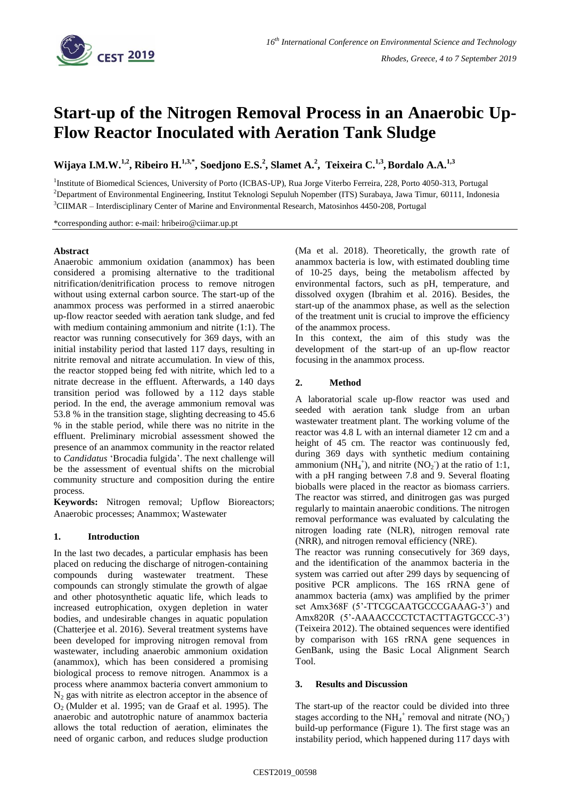

# **Start-up of the Nitrogen Removal Process in an Anaerobic Up-Flow Reactor Inoculated with Aeration Tank Sludge**

Wijaya I.M.W.<sup>1,2</sup>, Ribeiro H.<sup>1,3,\*</sup>, Soedjono E.S.<sup>2</sup>, Slamet A.<sup>2</sup>, Teixeira C.<sup>1,3</sup>, Bordalo A.A.<sup>1,3</sup>

<sup>1</sup>Institute of Biomedical Sciences, University of Porto (ICBAS-UP), Rua Jorge Viterbo Ferreira, 228, Porto 4050-313, Portugal <sup>2</sup>Department of Environmental Engineering, Institut Teknologi Sepuluh Nopember (ITS) Surabaya, Jawa Timur, 60111, Indonesia <sup>3</sup>CIIMAR – Interdisciplinary Center of Marine and Environmental Research, Matosinhos 4450-208, Portugal

\*corresponding author: e-mail: hribeiro@ciimar.up.pt

# **Abstract**

Anaerobic ammonium oxidation (anammox) has been considered a promising alternative to the traditional nitrification/denitrification process to remove nitrogen without using external carbon source. The start-up of the anammox process was performed in a stirred anaerobic up-flow reactor seeded with aeration tank sludge, and fed with medium containing ammonium and nitrite (1:1). The reactor was running consecutively for 369 days, with an initial instability period that lasted 117 days, resulting in nitrite removal and nitrate accumulation. In view of this, the reactor stopped being fed with nitrite, which led to a nitrate decrease in the effluent. Afterwards, a 140 days transition period was followed by a 112 days stable period. In the end, the average ammonium removal was 53.8 % in the transition stage, slighting decreasing to 45.6 % in the stable period, while there was no nitrite in the effluent. Preliminary microbial assessment showed the presence of an anammox community in the reactor related to *Candidatus* 'Brocadia fulgida'. The next challenge will be the assessment of eventual shifts on the microbial community structure and composition during the entire process.

**Keywords:** Nitrogen removal; Upflow Bioreactors; Anaerobic processes; Anammox; Wastewater

# **1. Introduction**

In the last two decades, a particular emphasis has been placed on reducing the discharge of nitrogen-containing compounds during wastewater treatment. These compounds can strongly stimulate the growth of algae and other photosynthetic aquatic life, which leads to increased eutrophication, oxygen depletion in water bodies, and undesirable changes in aquatic population (Chatterjee et al. 2016). Several treatment systems have been developed for improving nitrogen removal from wastewater, including anaerobic ammonium oxidation (anammox), which has been considered a promising biological process to remove nitrogen. Anammox is a process where anammox bacteria convert ammonium to  $N<sub>2</sub>$  gas with nitrite as electron acceptor in the absence of O2 (Mulder et al. 1995; van de Graaf et al. 1995). The anaerobic and autotrophic nature of anammox bacteria allows the total reduction of aeration, eliminates the need of organic carbon, and reduces sludge production

(Ma et al. 2018). Theoretically, the growth rate of anammox bacteria is low, with estimated doubling time of 10-25 days, being the metabolism affected by environmental factors, such as pH, temperature, and dissolved oxygen (Ibrahim et al. 2016). Besides, the start-up of the anammox phase, as well as the selection of the treatment unit is crucial to improve the efficiency of the anammox process.

In this context, the aim of this study was the development of the start-up of an up-flow reactor focusing in the anammox process.

# **2. Method**

A laboratorial scale up-flow reactor was used and seeded with aeration tank sludge from an urban wastewater treatment plant. The working volume of the reactor was 4.8 L with an internal diameter 12 cm and a height of 45 cm. The reactor was continuously fed, during 369 days with synthetic medium containing ammonium (NH<sub>4</sub><sup>+</sup>), and nitrite (NO<sub>2</sub><sup>-</sup>) at the ratio of 1:1, with a pH ranging between 7.8 and 9. Several floating bioballs were placed in the reactor as biomass carriers. The reactor was stirred, and dinitrogen gas was purged regularly to maintain anaerobic conditions. The nitrogen removal performance was evaluated by calculating the nitrogen loading rate (NLR), nitrogen removal rate (NRR), and nitrogen removal efficiency (NRE).

The reactor was running consecutively for 369 days, and the identification of the anammox bacteria in the system was carried out after 299 days by sequencing of positive PCR amplicons. The 16S rRNA gene of anammox bacteria (amx) was amplified by the primer set Amx368F (5'-TTCGCAATGCCCGAAAG-3') and Amx820R (5'-AAAACCCCTCTACTTAGTGCCC-3') (Teixeira 2012). The obtained sequences were identified by comparison with 16S rRNA gene sequences in GenBank, using the Basic Local Alignment Search Tool.

# **3. Results and Discussion**

The start-up of the reactor could be divided into three stages according to the NH<sub>4</sub><sup>+</sup> removal and nitrate  $(NO<sub>3</sub>)$ build-up performance (Figure 1). The first stage was an instability period, which happened during 117 days with